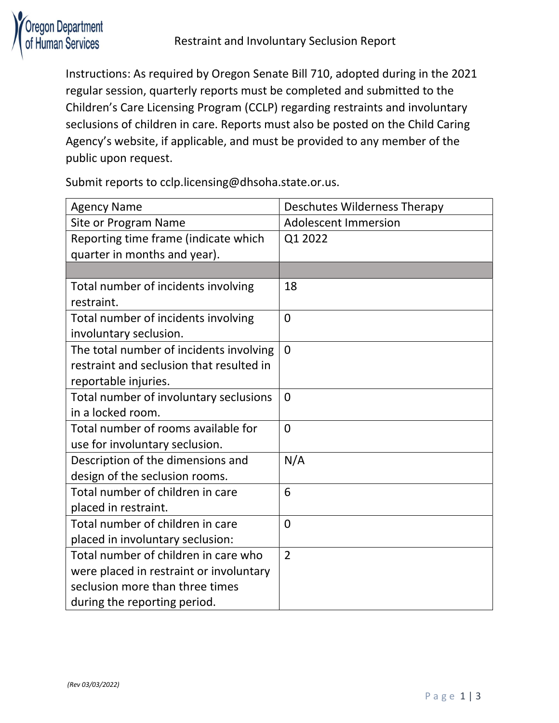

Instructions: As required by Oregon Senate Bill 710, adopted during in the 2021 regular session, quarterly reports must be completed and submitted to the Children's Care Licensing Program (CCLP) regarding restraints and involuntary seclusions of children in care. Reports must also be posted on the Child Caring Agency's website, if applicable, and must be provided to any member of the public upon request.

Submit reports to cclp.licensing@dhsoha.state.or.us.

| <b>Agency Name</b>                       | <b>Deschutes Wilderness Therapy</b> |
|------------------------------------------|-------------------------------------|
| Site or Program Name                     | <b>Adolescent Immersion</b>         |
| Reporting time frame (indicate which     | Q1 2022                             |
| quarter in months and year).             |                                     |
|                                          |                                     |
| Total number of incidents involving      | 18                                  |
| restraint.                               |                                     |
| Total number of incidents involving      | $\overline{0}$                      |
| involuntary seclusion.                   |                                     |
| The total number of incidents involving  | $\overline{0}$                      |
| restraint and seclusion that resulted in |                                     |
| reportable injuries.                     |                                     |
| Total number of involuntary seclusions   | $\Omega$                            |
| in a locked room.                        |                                     |
| Total number of rooms available for      | $\overline{0}$                      |
| use for involuntary seclusion.           |                                     |
| Description of the dimensions and        | N/A                                 |
| design of the seclusion rooms.           |                                     |
| Total number of children in care         | 6                                   |
| placed in restraint.                     |                                     |
| Total number of children in care         | $\overline{0}$                      |
| placed in involuntary seclusion:         |                                     |
| Total number of children in care who     | $\overline{2}$                      |
| were placed in restraint or involuntary  |                                     |
| seclusion more than three times          |                                     |
| during the reporting period.             |                                     |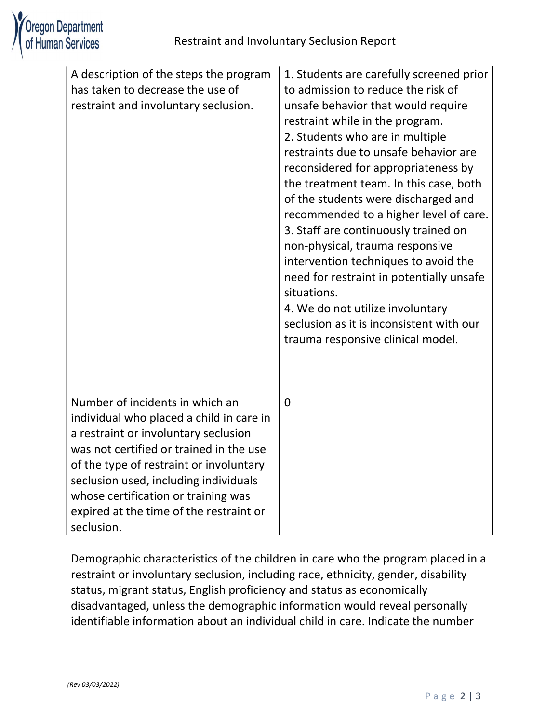

| A description of the steps the program<br>has taken to decrease the use of<br>restraint and involuntary seclusion.                                                                                                                                                                                                                                 | 1. Students are carefully screened prior<br>to admission to reduce the risk of<br>unsafe behavior that would require<br>restraint while in the program.<br>2. Students who are in multiple<br>restraints due to unsafe behavior are<br>reconsidered for appropriateness by<br>the treatment team. In this case, both<br>of the students were discharged and<br>recommended to a higher level of care.<br>3. Staff are continuously trained on<br>non-physical, trauma responsive<br>intervention techniques to avoid the<br>need for restraint in potentially unsafe<br>situations.<br>4. We do not utilize involuntary<br>seclusion as it is inconsistent with our<br>trauma responsive clinical model. |
|----------------------------------------------------------------------------------------------------------------------------------------------------------------------------------------------------------------------------------------------------------------------------------------------------------------------------------------------------|----------------------------------------------------------------------------------------------------------------------------------------------------------------------------------------------------------------------------------------------------------------------------------------------------------------------------------------------------------------------------------------------------------------------------------------------------------------------------------------------------------------------------------------------------------------------------------------------------------------------------------------------------------------------------------------------------------|
| Number of incidents in which an<br>individual who placed a child in care in<br>a restraint or involuntary seclusion<br>was not certified or trained in the use<br>of the type of restraint or involuntary<br>seclusion used, including individuals<br>whose certification or training was<br>expired at the time of the restraint or<br>seclusion. | $\Omega$                                                                                                                                                                                                                                                                                                                                                                                                                                                                                                                                                                                                                                                                                                 |

Demographic characteristics of the children in care who the program placed in a restraint or involuntary seclusion, including race, ethnicity, gender, disability status, migrant status, English proficiency and status as economically disadvantaged, unless the demographic information would reveal personally identifiable information about an individual child in care. Indicate the number